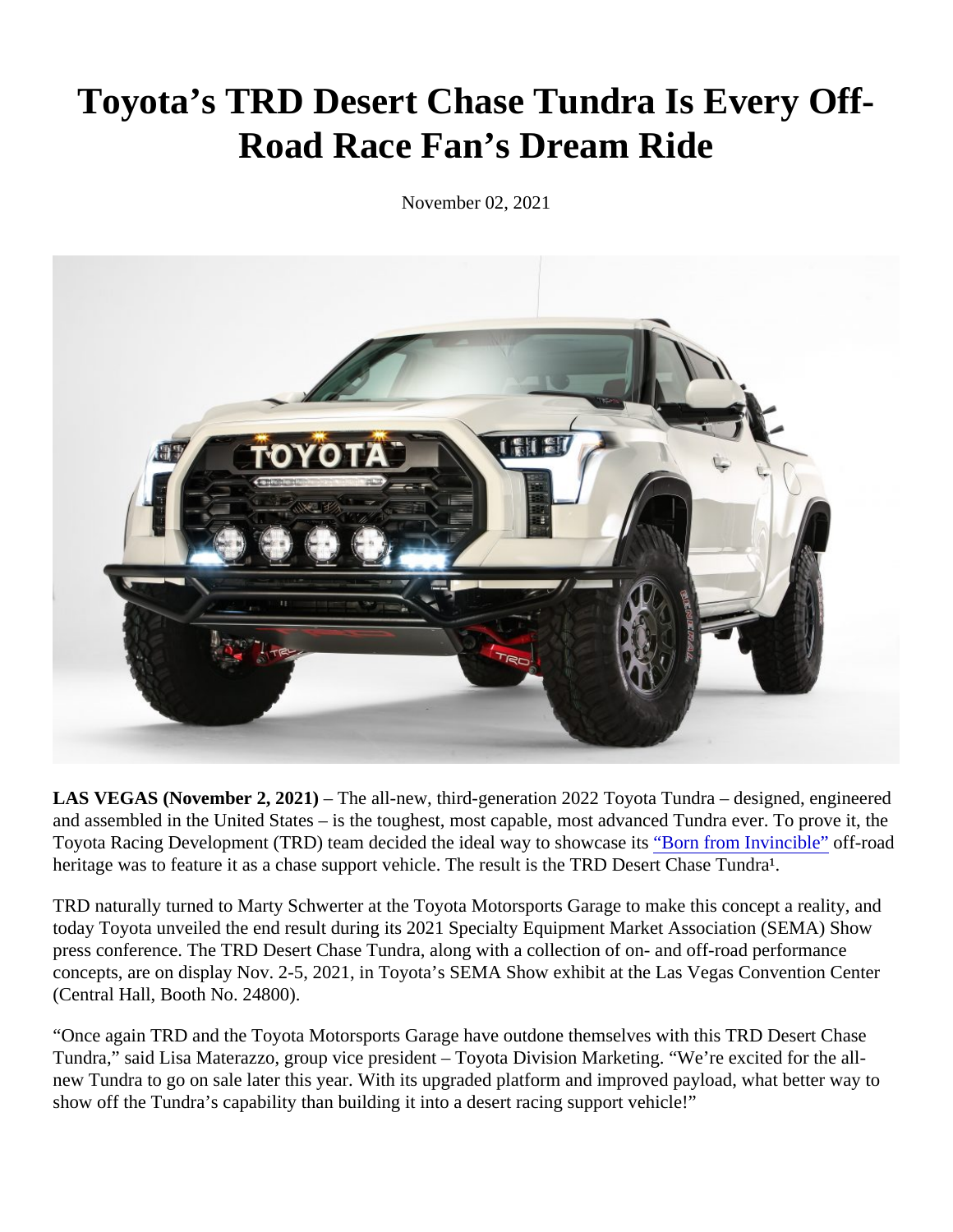## Toyota's TRD Desert Chase Tundra Is Every Off-Road Race Fan's Dream Ride

November 02, 2021

LAS VEGAS (November 2, 2021) The all-new, third-generation 2022 Toyota Tundra - designed, engineered and assembled in the United States – is the toughest, most capable, most advanced Tundra ever. To prove it Toyota Racing Development (TRD) team decided the ideal way to showc<sup>2</sup> Serits from Invincible" off-road heritage was to feature it as a chase support vehicle. The result is the TRD Desert Chase Tundra<sup>1</sup>.

TRD naturally turned to Marty Schwerter at the Toyota Motorsports Garage to make this concept a reality, and today Toyota unveiled the end result during its 2021 Specialty Equipment Market Association (SEMA) Show press conference. The TRD Desert Chase Tundra, along with a collection of on- and off-road performance concepts, are on display Nov. 2-5, 2021, in Toyota's SEMA Show exhibit at the Las Vegas Convention Cente (Central Hall, Booth No. 24800).

"Once again TRD and the Toyota Motorsports Garage have outdone themselves with this TRD Desert Chase Tundra," said Lisa Materazzo, group vice president – Toyota Division Marketing. "We're excited for the allnew Tundra to go on sale later this year. With its upgraded platform and improved payload, what better way to show off the Tundra's capability than building it into a desert racing support vehicle!"